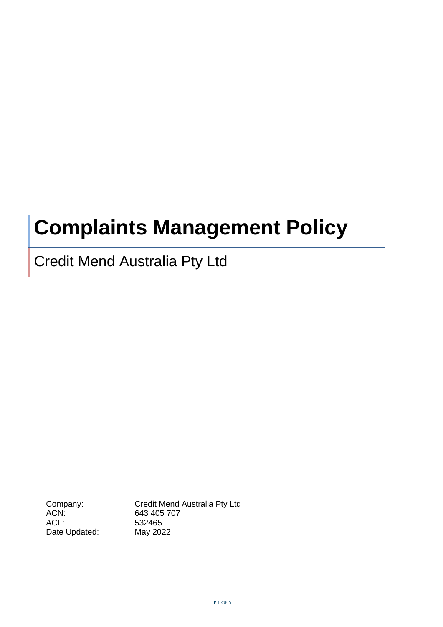# **Complaints Management Policy**

## Credit Mend Australia Pty Ltd

ACL: 532465 Date Updated: May 2022

Company: Credit Mend Australia Pty Ltd<br>ACN: 643 405 707 643 405 707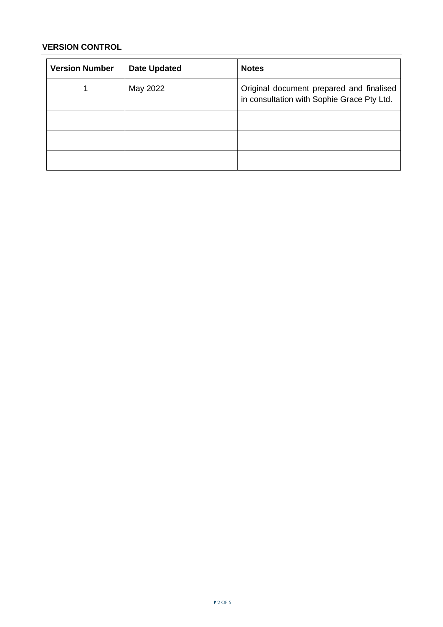### **VERSION CONTROL**

| <b>Version Number</b> | <b>Date Updated</b> | <b>Notes</b>                                                                           |
|-----------------------|---------------------|----------------------------------------------------------------------------------------|
|                       | May 2022            | Original document prepared and finalised<br>in consultation with Sophie Grace Pty Ltd. |
|                       |                     |                                                                                        |
|                       |                     |                                                                                        |
|                       |                     |                                                                                        |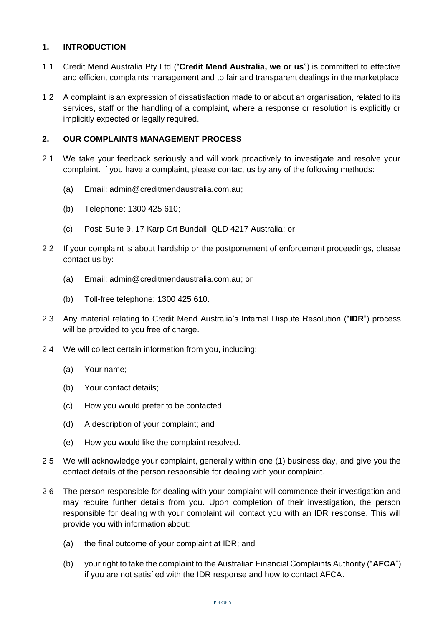#### **1. INTRODUCTION**

- 1.1 Credit Mend Australia Pty Ltd ("**Credit Mend Australia, we or us**") is committed to effective and efficient complaints management and to fair and transparent dealings in the marketplace
- 1.2 A complaint is an expression of dissatisfaction made to or about an organisation, related to its services, staff or the handling of a complaint, where a response or resolution is explicitly or implicitly expected or legally required.

#### **2. OUR COMPLAINTS MANAGEMENT PROCESS**

- 2.1 We take your feedback seriously and will work proactively to investigate and resolve your complaint. If you have a complaint, please contact us by any of the following methods:
	- (a) Email: admin@creditmendaustralia.com.au;
	- (b) Telephone: 1300 425 610;
	- (c) Post: Suite 9, 17 Karp Crt Bundall, QLD 4217 Australia; or
- 2.2 If your complaint is about hardship or the postponement of enforcement proceedings, please contact us by:
	- (a) Email: admin@creditmendaustralia.com.au; or
	- (b) Toll-free telephone: 1300 425 610.
- 2.3 Any material relating to Credit Mend Australia's Internal Dispute Resolution ("**IDR**") process will be provided to you free of charge.
- 2.4 We will collect certain information from you, including:
	- (a) Your name;
	- (b) Your contact details;
	- (c) How you would prefer to be contacted;
	- (d) A description of your complaint; and
	- (e) How you would like the complaint resolved.
- 2.5 We will acknowledge your complaint, generally within one (1) business day, and give you the contact details of the person responsible for dealing with your complaint.
- 2.6 The person responsible for dealing with your complaint will commence their investigation and may require further details from you. Upon completion of their investigation, the person responsible for dealing with your complaint will contact you with an IDR response. This will provide you with information about:
	- (a) the final outcome of your complaint at IDR; and
	- (b) your right to take the complaint to the Australian Financial Complaints Authority ("**AFCA**") if you are not satisfied with the IDR response and how to contact AFCA.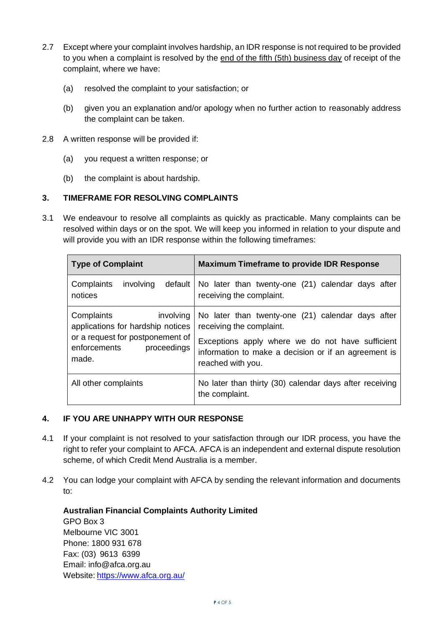- 2.7 Except where your complaint involves hardship, an IDR response is not required to be provided to you when a complaint is resolved by the end of the fifth (5th) business day of receipt of the complaint, where we have:
	- (a) resolved the complaint to your satisfaction; or
	- (b) given you an explanation and/or apology when no further action to reasonably address the complaint can be taken.
- 2.8 A written response will be provided if:
	- (a) you request a written response; or
	- (b) the complaint is about hardship.

#### **3. TIMEFRAME FOR RESOLVING COMPLAINTS**

3.1 We endeavour to resolve all complaints as quickly as practicable. Many complaints can be resolved within days or on the spot. We will keep you informed in relation to your dispute and will provide you with an IDR response within the following timeframes:

| <b>Type of Complaint</b>                                                                                                                 | <b>Maximum Timeframe to provide IDR Response</b>                                                                                                                                                               |
|------------------------------------------------------------------------------------------------------------------------------------------|----------------------------------------------------------------------------------------------------------------------------------------------------------------------------------------------------------------|
| Complaints<br>default  <br>involving<br>notices                                                                                          | No later than twenty-one (21) calendar days after<br>receiving the complaint.                                                                                                                                  |
| Complaints<br>involving<br>applications for hardship notices<br>or a request for postponement of<br>enforcements<br>proceedings<br>made. | No later than twenty-one (21) calendar days after<br>receiving the complaint.<br>Exceptions apply where we do not have sufficient<br>information to make a decision or if an agreement is<br>reached with you. |
| All other complaints                                                                                                                     | No later than thirty (30) calendar days after receiving<br>the complaint.                                                                                                                                      |

#### **4. IF YOU ARE UNHAPPY WITH OUR RESPONSE**

- 4.1 If your complaint is not resolved to your satisfaction through our IDR process, you have the right to refer your complaint to AFCA. AFCA is an independent and external dispute resolution scheme, of which Credit Mend Australia is a member.
- 4.2 You can lodge your complaint with AFCA by sending the relevant information and documents to:

**Australian Financial Complaints Authority Limited** GPO Box 3 Melbourne VIC 3001 Phone: 1800 931 678 Fax: (03) 9613 6399 Email: info@afca.org.au Website: <https://www.afca.org.au/>